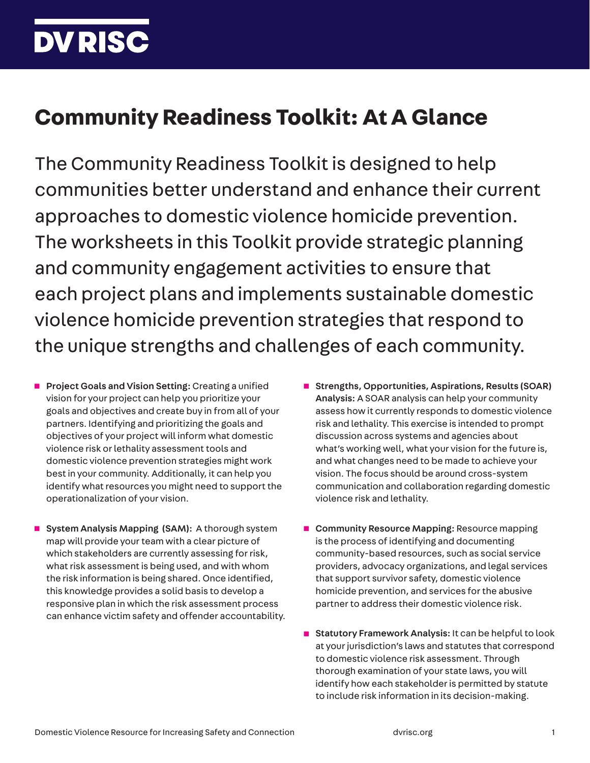## **DV RISC**

## **Community Readiness Toolkit: At A Glance**

The Community Readiness Toolkit is designed to help communities better understand and enhance their current approaches to domestic violence homicide prevention. The worksheets in this Toolkit provide strategic planning and community engagement activities to ensure that each project plans and implements sustainable domestic violence homicide prevention strategies that respond to the unique strengths and challenges of each community.

- **Project Goals and Vision Setting: Creating a unified** vision for your project can help you prioritize your goals and objectives and create buy in from all of your partners. Identifying and prioritizing the goals and objectives of your project will inform what domestic violence risk or lethality assessment tools and domestic violence prevention strategies might work best in your community. Additionally, it can help you identify what resources you might need to support the operationalization of your vision.
- System Analysis Mapping (SAM): A thorough system map will provide your team with a clear picture of which stakeholders are currently assessing for risk, what risk assessment is being used, and with whom the risk information is being shared. Once identified, this knowledge provides a solid basis to develop a responsive plan in which the risk assessment process can enhance victim safety and offender accountability.
- Strengths, Opportunities, Aspirations, Results (SOAR) Analysis: A SOAR analysis can help your community assess how it currently responds to domestic violence risk and lethality. This exercise is intended to prompt discussion across systems and agencies about what's working well, what your vision for the future is, and what changes need to be made to achieve your vision. The focus should be around cross-system communication and collaboration regarding domestic violence risk and lethality.
- Community Resource Mapping: Resource mapping is the process of identifying and documenting community-based resources, such as social service providers, advocacy organizations, and legal services that support survivor safety, domestic violence homicide prevention, and services for the abusive partner to address their domestic violence risk.
- Statutory Framework Analysis: It can be helpful to look at your jurisdiction's laws and statutes that correspond to domestic violence risk assessment. Through thorough examination of your state laws, you will identify how each stakeholder is permitted by statute to include risk information in its decision-making.